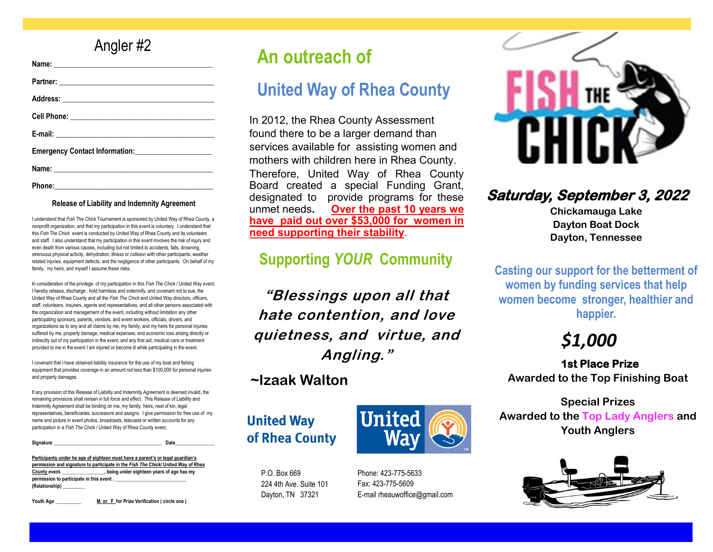### Angler #2

#### **Release of Liability and Indemnity Agreement**

I understand that *Fish The Chick* Tournament is sponsored by United Way of Rhea County, a nonprofit organization, and that my participation in this event is voluntary. I understand that this *Fish The Chick* event is conducted by United Way of Rhea County and its volunteers and staff. I also understand that my participation in this event involves the risk of injury and even death from various causes, including but not limited to accidents, falls, drowning, strenuous physical activity, dehydration, illness or collision with other participants, weather related injuries, equipment defects, and the negligence of other participants. On behalf of my family, my heirs, and myself I assume these risks.

In consideration of the privilege of my participation in this *Fish The Chick* / United Way event, I hereby release, discharge , hold harmless and indemnify, and covenant not to sue, the United Way of Rhea County and all the *Fish The Chick* and United Way directors, officers, staff, volunteers, insurers, agents and representatives, and all other persons associated with the organization and management of the event, including without limitation any other participating sponsors, parents, vendors, and event workers, officials, drivers, and organizations as to any and all claims by me, my family, and my heirs for personal injuries suffered by me, property damage, medical expenses, and economic loss arising directly or indirectly out of my participation in the event, and any first aid, medical care or treatment provided to me in the event I am injured or become ill while participating in the event.

I covenant that I have obtained liability insurance for the use of my boat and fishing equipment that provides coverage in an amount not less than \$100,000 for personal injuries and property damages.

If any provision of this Release of Liability and Indemnity Agreement is deemed invalid, the remaining provisions shall remain in full force and effect. This Release of Liability and Indemnity Agreement shall be binding on me, my family, heirs, next of kin, legal representatives, beneficiaries, successors and assigns. I give permission for free use of my name and picture in event photos, broadcasts, telecasts or written accounts for any participation in a *Fish The Chick* / United Way of Rhea County event.

**Signature \_\_\_\_\_\_\_\_\_\_\_\_\_\_\_\_\_\_\_\_\_\_\_\_\_\_\_\_\_\_\_\_\_\_\_\_\_\_\_\_\_\_\_\_ Date\_\_\_\_\_\_\_\_\_\_\_\_\_\_\_\_**

**Participants under he age of eighteen must have a parent's or legal guardian's permission and signature to participate in the** *Fish The Chick/* **United Way of Rhea County event. \_\_\_\_\_\_\_\_\_\_\_\_\_\_\_\_\_, being under eighteen years of age has my**  permission to participate in this event **(Relationship) \_\_\_\_\_\_\_\_\_**

**Youth Age \_\_\_\_\_\_\_\_\_\_ M or F for Prize Verification ( circle one )** 

# **An outreach of**

## **United Way of Rhea County**

In 2012, the Rhea County Assessment found there to be a larger demand than services available for assisting women and mothers with children here in Rhea County. Therefore, United Way of Rhea County Board created a special Funding Grant, designated to provide programs for these unmet needs**. Over the past 10 years we have paid out over \$53,000 for women in need supporting their stability**.

### **Supporting** *YOUR* **Community**

**"Blessings upon all that hate contention, and love quietness, and virtue, and Angling."** 

**~Izaak Walton**

## **United Way** of Rhea County

P.O. Box 669 224 4th Ave. Suite 101 Dayton, TN 37321



Phone: 423-775-5633 Fax: 423-775-5609 E-mail rheauwoffice@gmail.com



## **Saturday, September 3, 2022**

**Chickamauga Lake Dayton Boat Dock Dayton, Tennessee**

**Casting our support for the betterment of women by funding services that help women become stronger, healthier and happier.** 

# *\$1,000*

### **1st Place Prize Awarded to the Top Finishing Boat**

**Special Prizes Awarded to the Top Lady Anglers and Youth Anglers**